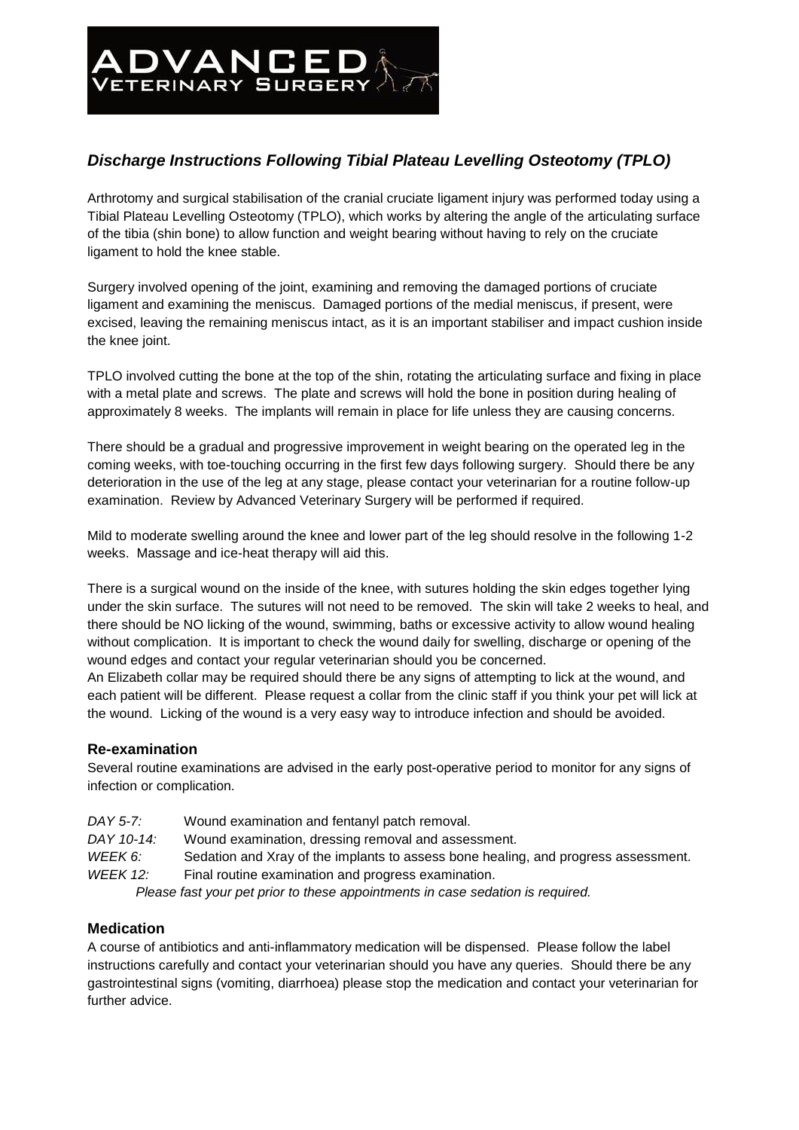

# *Discharge Instructions Following Tibial Plateau Levelling Osteotomy (TPLO)*

Arthrotomy and surgical stabilisation of the cranial cruciate ligament injury was performed today using a Tibial Plateau Levelling Osteotomy (TPLO), which works by altering the angle of the articulating surface of the tibia (shin bone) to allow function and weight bearing without having to rely on the cruciate ligament to hold the knee stable.

Surgery involved opening of the joint, examining and removing the damaged portions of cruciate ligament and examining the meniscus. Damaged portions of the medial meniscus, if present, were excised, leaving the remaining meniscus intact, as it is an important stabiliser and impact cushion inside the knee joint.

TPLO involved cutting the bone at the top of the shin, rotating the articulating surface and fixing in place with a metal plate and screws. The plate and screws will hold the bone in position during healing of approximately 8 weeks. The implants will remain in place for life unless they are causing concerns.

There should be a gradual and progressive improvement in weight bearing on the operated leg in the coming weeks, with toe-touching occurring in the first few days following surgery. Should there be any deterioration in the use of the leg at any stage, please contact your veterinarian for a routine follow-up examination. Review by Advanced Veterinary Surgery will be performed if required.

Mild to moderate swelling around the knee and lower part of the leg should resolve in the following 1-2 weeks. Massage and ice-heat therapy will aid this.

There is a surgical wound on the inside of the knee, with sutures holding the skin edges together lying under the skin surface. The sutures will not need to be removed. The skin will take 2 weeks to heal, and there should be NO licking of the wound, swimming, baths or excessive activity to allow wound healing without complication. It is important to check the wound daily for swelling, discharge or opening of the wound edges and contact your regular veterinarian should you be concerned.

An Elizabeth collar may be required should there be any signs of attempting to lick at the wound, and each patient will be different. Please request a collar from the clinic staff if you think your pet will lick at the wound. Licking of the wound is a very easy way to introduce infection and should be avoided.

## **Re-examination**

Several routine examinations are advised in the early post-operative period to monitor for any signs of infection or complication.

| DAY 5-7:                                                                       | Wound examination and fentanyl patch removal.                                      |
|--------------------------------------------------------------------------------|------------------------------------------------------------------------------------|
| DAY 10-14:                                                                     | Wound examination, dressing removal and assessment.                                |
| WEEK 6:                                                                        | Sedation and Xray of the implants to assess bone healing, and progress assessment. |
| <b>WEEK 12:</b>                                                                | Final routine examination and progress examination.                                |
| Please fast your pet prior to these appointments in case sedation is required. |                                                                                    |

#### **Medication**

A course of antibiotics and anti-inflammatory medication will be dispensed. Please follow the label instructions carefully and contact your veterinarian should you have any queries. Should there be any gastrointestinal signs (vomiting, diarrhoea) please stop the medication and contact your veterinarian for further advice.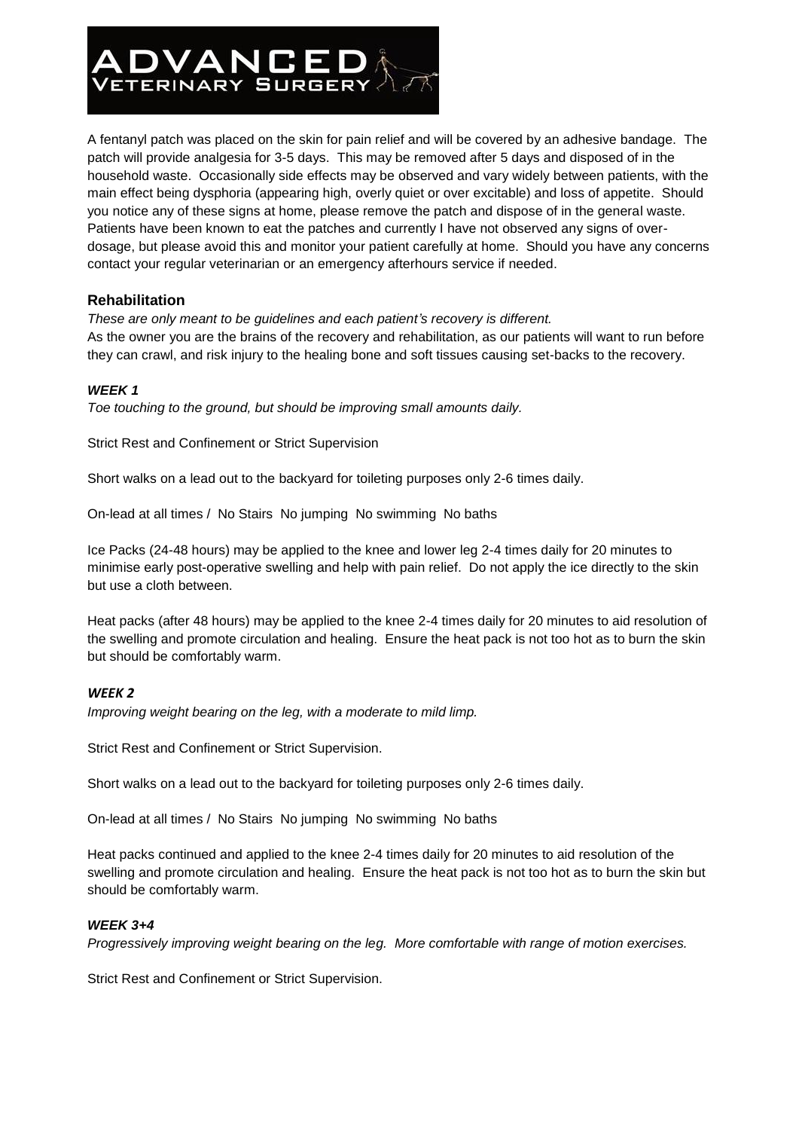

A fentanyl patch was placed on the skin for pain relief and will be covered by an adhesive bandage. The patch will provide analgesia for 3-5 days. This may be removed after 5 days and disposed of in the household waste. Occasionally side effects may be observed and vary widely between patients, with the main effect being dysphoria (appearing high, overly quiet or over excitable) and loss of appetite. Should you notice any of these signs at home, please remove the patch and dispose of in the general waste. Patients have been known to eat the patches and currently I have not observed any signs of overdosage, but please avoid this and monitor your patient carefully at home. Should you have any concerns contact your regular veterinarian or an emergency afterhours service if needed.

## **Rehabilitation**

*These are only meant to be guidelines and each patient's recovery is different.*

As the owner you are the brains of the recovery and rehabilitation, as our patients will want to run before they can crawl, and risk injury to the healing bone and soft tissues causing set-backs to the recovery.

## *WEEK 1*

*Toe touching to the ground, but should be improving small amounts daily.*

Strict Rest and Confinement or Strict Supervision

Short walks on a lead out to the backyard for toileting purposes only 2-6 times daily.

On-lead at all times / No Stairs No jumping No swimming No baths

Ice Packs (24-48 hours) may be applied to the knee and lower leg 2-4 times daily for 20 minutes to minimise early post-operative swelling and help with pain relief. Do not apply the ice directly to the skin but use a cloth between.

Heat packs (after 48 hours) may be applied to the knee 2-4 times daily for 20 minutes to aid resolution of the swelling and promote circulation and healing. Ensure the heat pack is not too hot as to burn the skin but should be comfortably warm.

#### *WEEK 2*

*Improving weight bearing on the leg, with a moderate to mild limp.*

Strict Rest and Confinement or Strict Supervision.

Short walks on a lead out to the backyard for toileting purposes only 2-6 times daily.

On-lead at all times / No Stairs No jumping No swimming No baths

Heat packs continued and applied to the knee 2-4 times daily for 20 minutes to aid resolution of the swelling and promote circulation and healing. Ensure the heat pack is not too hot as to burn the skin but should be comfortably warm.

#### *WEEK 3+4*

*Progressively improving weight bearing on the leg. More comfortable with range of motion exercises.*

Strict Rest and Confinement or Strict Supervision.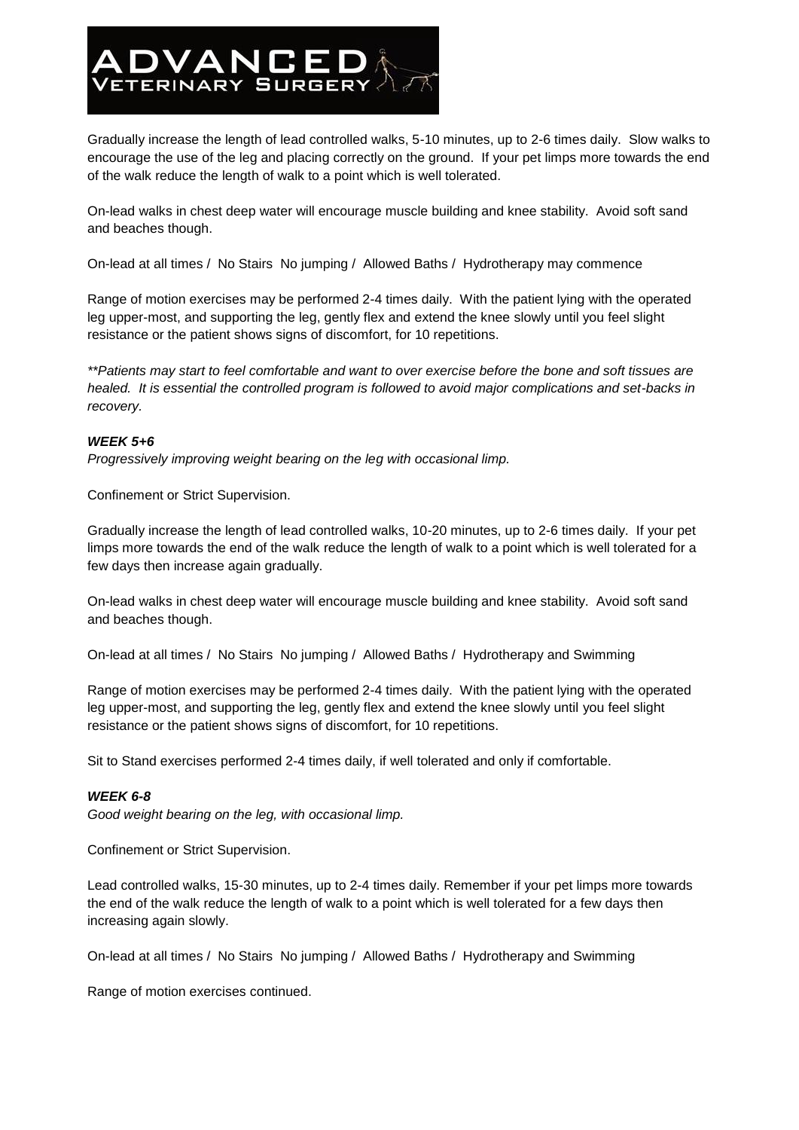

Gradually increase the length of lead controlled walks, 5-10 minutes, up to 2-6 times daily. Slow walks to encourage the use of the leg and placing correctly on the ground. If your pet limps more towards the end of the walk reduce the length of walk to a point which is well tolerated.

On-lead walks in chest deep water will encourage muscle building and knee stability. Avoid soft sand and beaches though.

On-lead at all times / No Stairs No jumping / Allowed Baths / Hydrotherapy may commence

Range of motion exercises may be performed 2-4 times daily. With the patient lying with the operated leg upper-most, and supporting the leg, gently flex and extend the knee slowly until you feel slight resistance or the patient shows signs of discomfort, for 10 repetitions.

*\*\*Patients may start to feel comfortable and want to over exercise before the bone and soft tissues are healed. It is essential the controlled program is followed to avoid major complications and set-backs in recovery.*

#### *WEEK 5+6*

*Progressively improving weight bearing on the leg with occasional limp.*

Confinement or Strict Supervision.

Gradually increase the length of lead controlled walks, 10-20 minutes, up to 2-6 times daily. If your pet limps more towards the end of the walk reduce the length of walk to a point which is well tolerated for a few days then increase again gradually.

On-lead walks in chest deep water will encourage muscle building and knee stability. Avoid soft sand and beaches though.

On-lead at all times / No Stairs No jumping / Allowed Baths / Hydrotherapy and Swimming

Range of motion exercises may be performed 2-4 times daily. With the patient lying with the operated leg upper-most, and supporting the leg, gently flex and extend the knee slowly until you feel slight resistance or the patient shows signs of discomfort, for 10 repetitions.

Sit to Stand exercises performed 2-4 times daily, if well tolerated and only if comfortable.

#### *WEEK 6-8*

*Good weight bearing on the leg, with occasional limp.*

Confinement or Strict Supervision.

Lead controlled walks, 15-30 minutes, up to 2-4 times daily. Remember if your pet limps more towards the end of the walk reduce the length of walk to a point which is well tolerated for a few days then increasing again slowly.

On-lead at all times / No Stairs No jumping / Allowed Baths / Hydrotherapy and Swimming

Range of motion exercises continued.